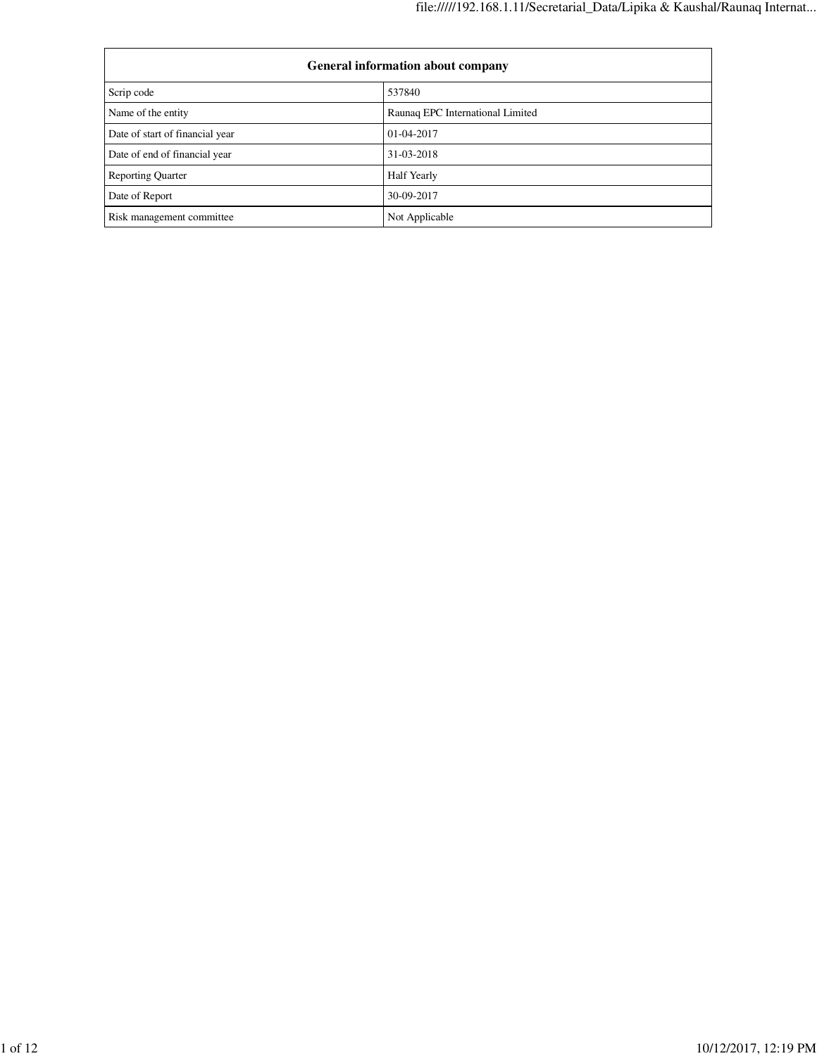| <b>General information about company</b> |                                  |  |  |  |  |  |
|------------------------------------------|----------------------------------|--|--|--|--|--|
| Scrip code                               | 537840                           |  |  |  |  |  |
| Name of the entity                       | Raunaq EPC International Limited |  |  |  |  |  |
| Date of start of financial year          | 01-04-2017                       |  |  |  |  |  |
| Date of end of financial year            | 31-03-2018                       |  |  |  |  |  |
| <b>Reporting Quarter</b>                 | <b>Half Yearly</b>               |  |  |  |  |  |
| Date of Report                           | 30-09-2017                       |  |  |  |  |  |
| Risk management committee                | Not Applicable                   |  |  |  |  |  |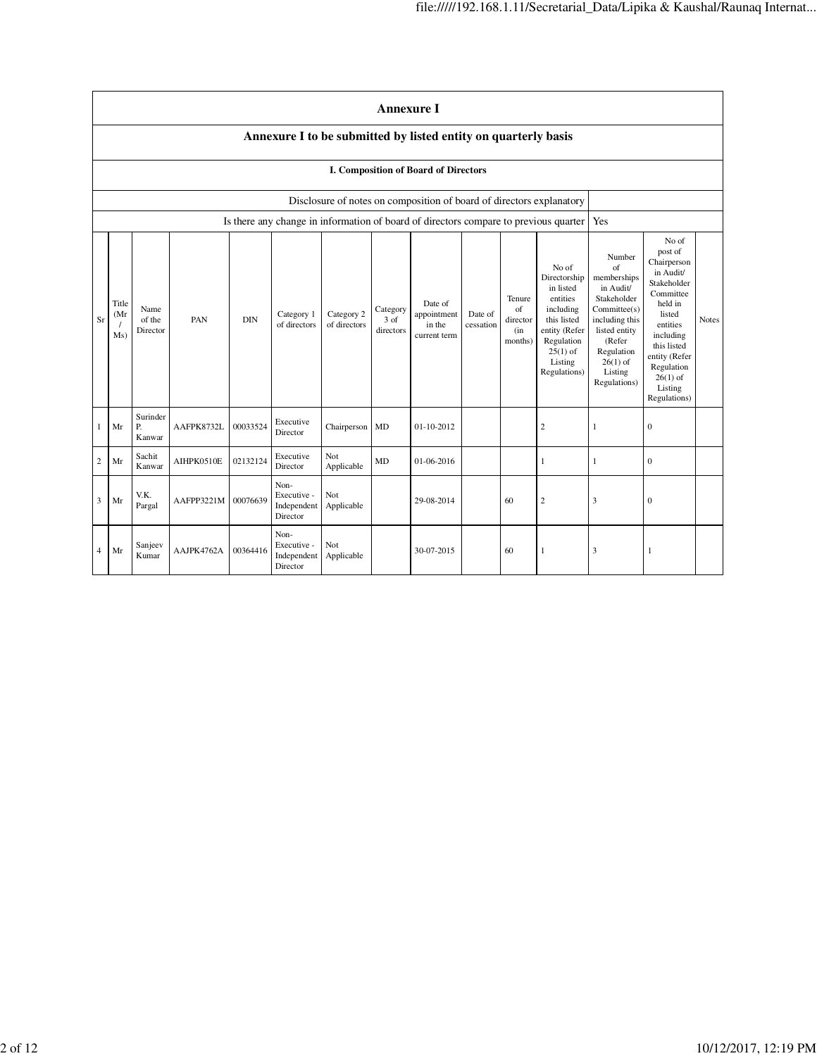|                | <b>Annexure I</b>                                                    |                            |            |            |                                                |                            |                                         |                                                  |                      |                                            |                                                                                                                                                    |                                                                                                                                                                             |                                                                                                                                                                                                               |              |
|----------------|----------------------------------------------------------------------|----------------------------|------------|------------|------------------------------------------------|----------------------------|-----------------------------------------|--------------------------------------------------|----------------------|--------------------------------------------|----------------------------------------------------------------------------------------------------------------------------------------------------|-----------------------------------------------------------------------------------------------------------------------------------------------------------------------------|---------------------------------------------------------------------------------------------------------------------------------------------------------------------------------------------------------------|--------------|
|                | Annexure I to be submitted by listed entity on quarterly basis       |                            |            |            |                                                |                            |                                         |                                                  |                      |                                            |                                                                                                                                                    |                                                                                                                                                                             |                                                                                                                                                                                                               |              |
|                |                                                                      |                            |            |            |                                                |                            |                                         | I. Composition of Board of Directors             |                      |                                            |                                                                                                                                                    |                                                                                                                                                                             |                                                                                                                                                                                                               |              |
|                | Disclosure of notes on composition of board of directors explanatory |                            |            |            |                                                |                            |                                         |                                                  |                      |                                            |                                                                                                                                                    |                                                                                                                                                                             |                                                                                                                                                                                                               |              |
|                |                                                                      |                            |            |            |                                                |                            |                                         |                                                  |                      |                                            | Is there any change in information of board of directors compare to previous quarter                                                               | Yes                                                                                                                                                                         |                                                                                                                                                                                                               |              |
| Sr             | Title<br>(Mr<br>Ms)                                                  | Name<br>of the<br>Director | PAN        | <b>DIN</b> | Category 1<br>of directors                     | Category 2<br>of directors | Category<br>$3 \text{ of}$<br>directors | Date of<br>appointment<br>in the<br>current term | Date of<br>cessation | Tenure<br>of<br>director<br>(in<br>months) | No of<br>Directorship<br>in listed<br>entities<br>including<br>this listed<br>entity (Refer<br>Regulation<br>$25(1)$ of<br>Listing<br>Regulations) | Number<br>of<br>memberships<br>in Audit/<br>Stakeholder<br>Committee(s)<br>including this<br>listed entity<br>(Refer<br>Regulation<br>$26(1)$ of<br>Listing<br>Regulations) | No of<br>post of<br>Chairperson<br>in Audit/<br>Stakeholder<br>Committee<br>held in<br>listed<br>entities<br>including<br>this listed<br>entity (Refer<br>Regulation<br>$26(1)$ of<br>Listing<br>Regulations) | <b>Notes</b> |
| 1              | Mr                                                                   | Surinder<br>Ρ.<br>Kanwar   | AAFPK8732L | 00033524   | Executive<br>Director                          | Chairperson                | MD                                      | 01-10-2012                                       |                      |                                            | $\overline{c}$                                                                                                                                     | 1                                                                                                                                                                           | $\mathbf{0}$                                                                                                                                                                                                  |              |
| $\overline{c}$ | Mr                                                                   | Sachit<br>Kanwar           | AIHPK0510E | 02132124   | Executive<br>Director                          | Not<br>Applicable          | <b>MD</b>                               | 01-06-2016                                       |                      |                                            | 1                                                                                                                                                  | $\mathbf{1}$                                                                                                                                                                | $\mathbf{0}$                                                                                                                                                                                                  |              |
| 3              | Mr                                                                   | V.K.<br>Pargal             | AAFPP3221M | 00076639   | Non-<br>Executive -<br>Independent<br>Director | Not<br>Applicable          |                                         | 29-08-2014                                       |                      | 60                                         | $\overline{c}$                                                                                                                                     | 3                                                                                                                                                                           | $\mathbf{0}$                                                                                                                                                                                                  |              |
| $\overline{4}$ | Mr                                                                   | Sanjeev<br>Kumar           | AAJPK4762A | 00364416   | Non-<br>Executive -<br>Independent<br>Director | Not<br>Applicable          |                                         | 30-07-2015                                       |                      | 60                                         | 1                                                                                                                                                  | 3                                                                                                                                                                           | 1                                                                                                                                                                                                             |              |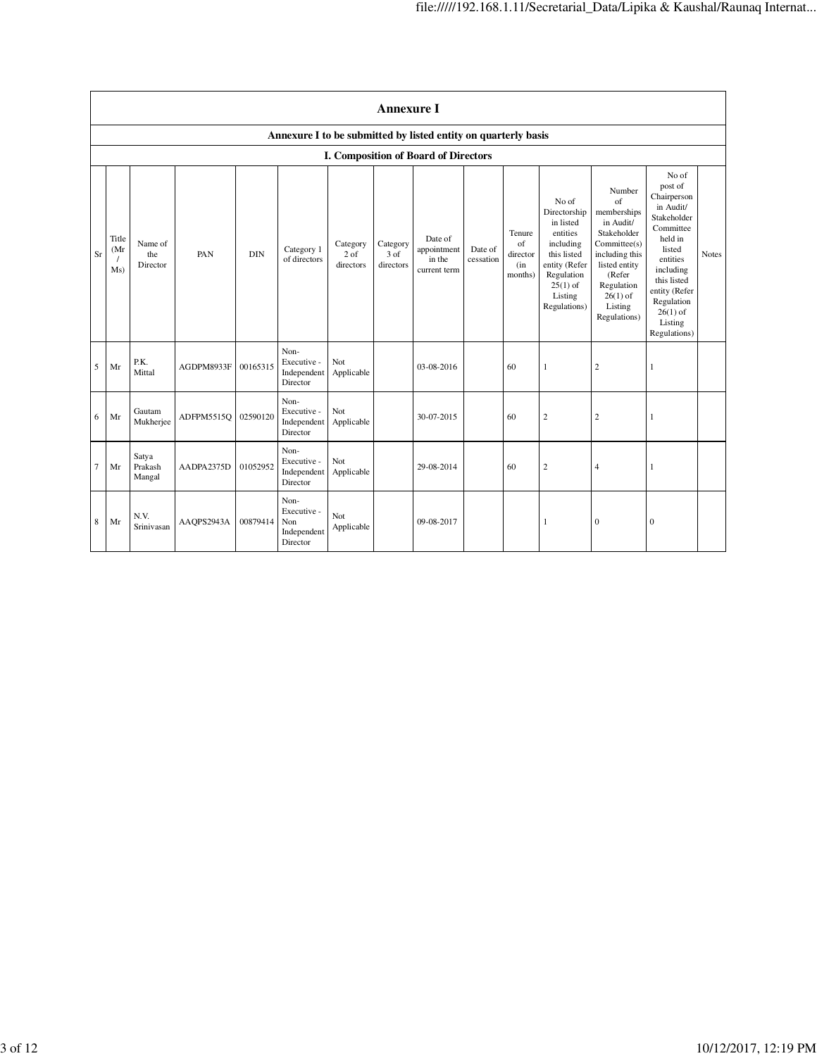|                | <b>Annexure I</b>                                              |                            |            |            |                                                       |                                 |                                          |                                                  |                      |                                            |                                                                                                                                                    |                                                                                                                                                                                     |                                                                                                                                                                                                               |              |
|----------------|----------------------------------------------------------------|----------------------------|------------|------------|-------------------------------------------------------|---------------------------------|------------------------------------------|--------------------------------------------------|----------------------|--------------------------------------------|----------------------------------------------------------------------------------------------------------------------------------------------------|-------------------------------------------------------------------------------------------------------------------------------------------------------------------------------------|---------------------------------------------------------------------------------------------------------------------------------------------------------------------------------------------------------------|--------------|
|                | Annexure I to be submitted by listed entity on quarterly basis |                            |            |            |                                                       |                                 |                                          |                                                  |                      |                                            |                                                                                                                                                    |                                                                                                                                                                                     |                                                                                                                                                                                                               |              |
|                |                                                                |                            |            |            |                                                       |                                 |                                          | I. Composition of Board of Directors             |                      |                                            |                                                                                                                                                    |                                                                                                                                                                                     |                                                                                                                                                                                                               |              |
| Sr             | Title<br>(Mr)<br>Ms)                                           | Name of<br>the<br>Director | <b>PAN</b> | <b>DIN</b> | Category 1<br>of directors                            | Category<br>$2$ of<br>directors | Category<br>3 <sub>of</sub><br>directors | Date of<br>appointment<br>in the<br>current term | Date of<br>cessation | Tenure<br>of<br>director<br>(in<br>months) | No of<br>Directorship<br>in listed<br>entities<br>including<br>this listed<br>entity (Refer<br>Regulation<br>$25(1)$ of<br>Listing<br>Regulations) | Number<br>$\alpha$ f<br>memberships<br>in Audit/<br>Stakeholder<br>Committee(s)<br>including this<br>listed entity<br>(Refer<br>Regulation<br>$26(1)$ of<br>Listing<br>Regulations) | No of<br>post of<br>Chairperson<br>in Audit/<br>Stakeholder<br>Committee<br>held in<br>listed<br>entities<br>including<br>this listed<br>entity (Refer<br>Regulation<br>$26(1)$ of<br>Listing<br>Regulations) | <b>Notes</b> |
| 5              | Mr                                                             | P.K.<br>Mittal             | AGDPM8933F | 00165315   | Non-<br>Executive -<br>Independent<br>Director        | Not<br>Applicable               |                                          | 03-08-2016                                       |                      | 60                                         | $\mathbf{1}$                                                                                                                                       | $\overline{2}$                                                                                                                                                                      | 1                                                                                                                                                                                                             |              |
| 6              | Mr                                                             | Gautam<br>Mukherjee        | ADFPM5515O | 02590120   | Non-<br>Executive -<br>Independent<br>Director        | Not<br>Applicable               |                                          | 30-07-2015                                       |                      | 60                                         | $\overline{c}$                                                                                                                                     | $\overline{c}$                                                                                                                                                                      | 1                                                                                                                                                                                                             |              |
| $\overline{7}$ | Mr                                                             | Satya<br>Prakash<br>Mangal | AADPA2375D | 01052952   | Non-<br>Executive -<br>Independent<br>Director        | Not<br>Applicable               |                                          | 29-08-2014                                       |                      | 60                                         | $\overline{c}$                                                                                                                                     | $\overline{4}$                                                                                                                                                                      | 1                                                                                                                                                                                                             |              |
| 8              | Mr                                                             | N.V.<br>Srinivasan         | AAOPS2943A | 00879414   | Non-<br>Executive -<br>Non<br>Independent<br>Director | Not<br>Applicable               |                                          | 09-08-2017                                       |                      |                                            | 1                                                                                                                                                  | $\mathbf{0}$                                                                                                                                                                        | $\mathbf{0}$                                                                                                                                                                                                  |              |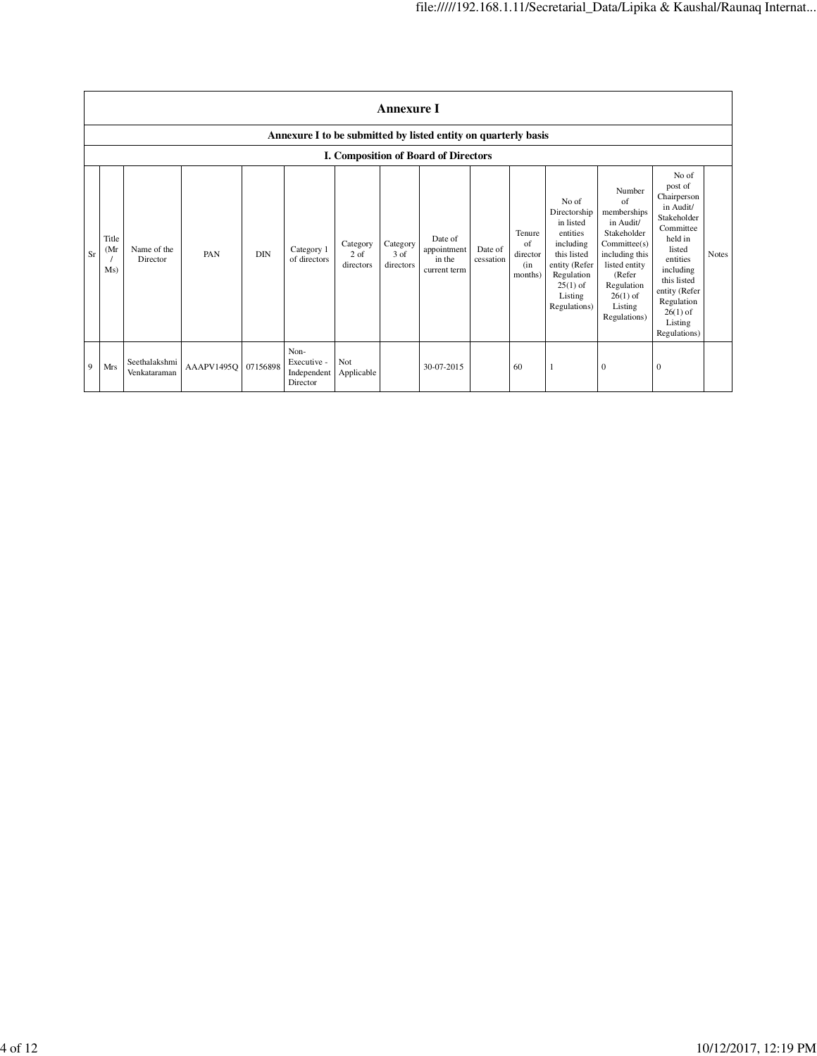|    | <b>Annexure I</b>                                              |                               |                     |            |                                                |                               |                               |                                                  |                      |                                            |                                                                                                                                                    |                                                                                                                                                                             |                                                                                                                                                                                                               |              |
|----|----------------------------------------------------------------|-------------------------------|---------------------|------------|------------------------------------------------|-------------------------------|-------------------------------|--------------------------------------------------|----------------------|--------------------------------------------|----------------------------------------------------------------------------------------------------------------------------------------------------|-----------------------------------------------------------------------------------------------------------------------------------------------------------------------------|---------------------------------------------------------------------------------------------------------------------------------------------------------------------------------------------------------------|--------------|
|    | Annexure I to be submitted by listed entity on quarterly basis |                               |                     |            |                                                |                               |                               |                                                  |                      |                                            |                                                                                                                                                    |                                                                                                                                                                             |                                                                                                                                                                                                               |              |
|    |                                                                |                               |                     |            |                                                |                               |                               | I. Composition of Board of Directors             |                      |                                            |                                                                                                                                                    |                                                                                                                                                                             |                                                                                                                                                                                                               |              |
| Sr | Title<br>(Mr)<br>Ms)                                           | Name of the<br>Director       | PAN                 | <b>DIN</b> | Category 1<br>of directors                     | Category<br>2 of<br>directors | Category<br>3 of<br>directors | Date of<br>appointment<br>in the<br>current term | Date of<br>cessation | Tenure<br>of<br>director<br>(in<br>months) | No of<br>Directorship<br>in listed<br>entities<br>including<br>this listed<br>entity (Refer<br>Regulation<br>$25(1)$ of<br>Listing<br>Regulations) | Number<br>of<br>memberships<br>in Audit/<br>Stakeholder<br>Committee(s)<br>including this<br>listed entity<br>(Refer<br>Regulation<br>$26(1)$ of<br>Listing<br>Regulations) | No of<br>post of<br>Chairperson<br>in Audit/<br>Stakeholder<br>Committee<br>held in<br>listed<br>entities<br>including<br>this listed<br>entity (Refer<br>Regulation<br>$26(1)$ of<br>Listing<br>Regulations) | <b>Notes</b> |
| 9  | Mrs                                                            | Seethalakshmi<br>Venkataraman | AAAPV1495Q 07156898 |            | Non-<br>Executive -<br>Independent<br>Director | Not<br>Applicable             |                               | 30-07-2015                                       |                      | 60                                         |                                                                                                                                                    | $\bf{0}$                                                                                                                                                                    | 0                                                                                                                                                                                                             |              |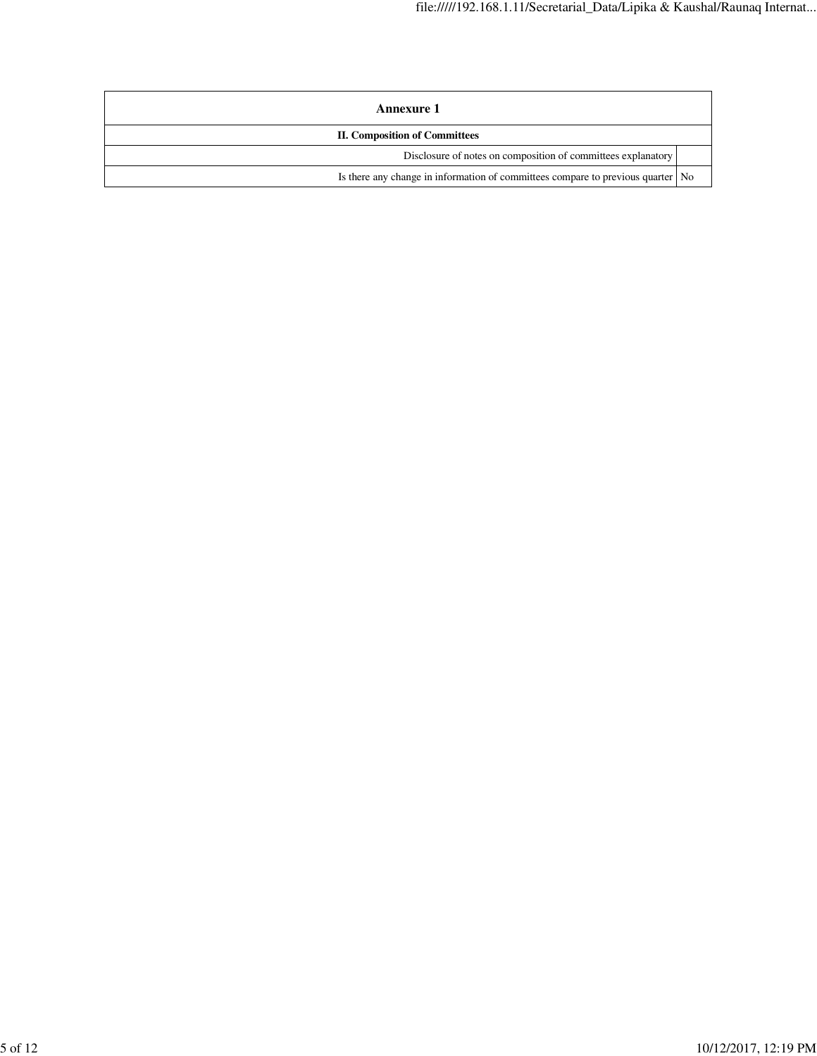| <b>Annexure 1</b>                                                                 |  |
|-----------------------------------------------------------------------------------|--|
| <b>II. Composition of Committees</b>                                              |  |
| Disclosure of notes on composition of committees explanatory                      |  |
| Is there any change in information of committees compare to previous quarter   No |  |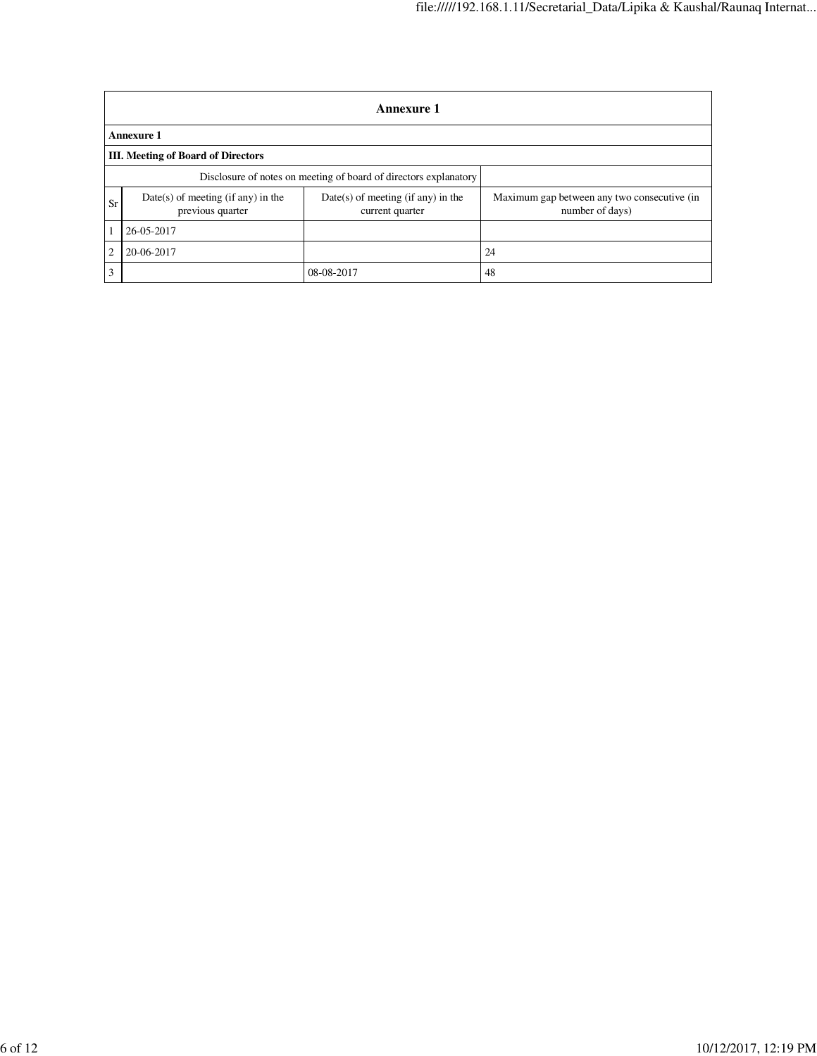|                | <b>Annexure 1</b>                                                |                                                         |                                                                |  |  |  |  |  |  |  |
|----------------|------------------------------------------------------------------|---------------------------------------------------------|----------------------------------------------------------------|--|--|--|--|--|--|--|
|                | <b>Annexure 1</b>                                                |                                                         |                                                                |  |  |  |  |  |  |  |
|                | III. Meeting of Board of Directors                               |                                                         |                                                                |  |  |  |  |  |  |  |
|                | Disclosure of notes on meeting of board of directors explanatory |                                                         |                                                                |  |  |  |  |  |  |  |
| <b>Sr</b>      | $Date(s)$ of meeting (if any) in the<br>previous quarter         | $Date(s)$ of meeting (if any) in the<br>current quarter | Maximum gap between any two consecutive (in<br>number of days) |  |  |  |  |  |  |  |
|                | 26-05-2017                                                       |                                                         |                                                                |  |  |  |  |  |  |  |
| $\overline{2}$ | 20-06-2017                                                       |                                                         | 24                                                             |  |  |  |  |  |  |  |
| 3              |                                                                  | 08-08-2017                                              | 48                                                             |  |  |  |  |  |  |  |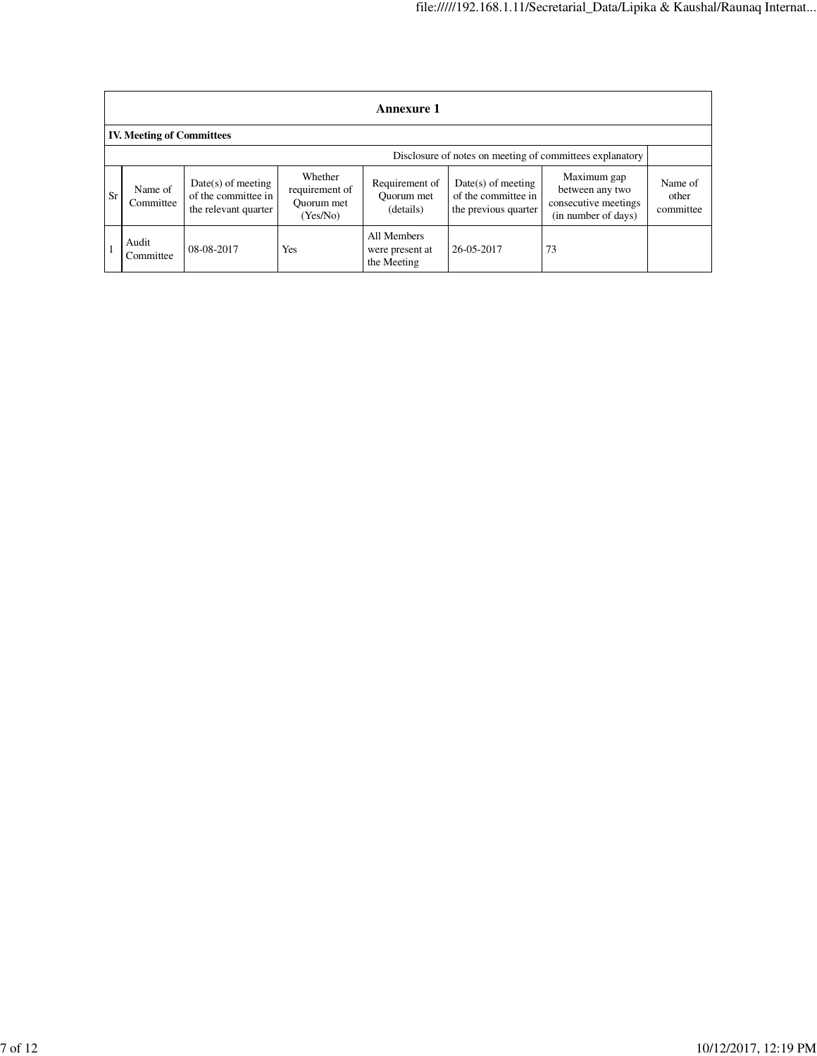|           | <b>Annexure 1</b>                                        |                                                                     |                                                     |                                               |                                                                     |                                                                               |                               |  |  |  |  |
|-----------|----------------------------------------------------------|---------------------------------------------------------------------|-----------------------------------------------------|-----------------------------------------------|---------------------------------------------------------------------|-------------------------------------------------------------------------------|-------------------------------|--|--|--|--|
|           | <b>IV. Meeting of Committees</b>                         |                                                                     |                                                     |                                               |                                                                     |                                                                               |                               |  |  |  |  |
|           | Disclosure of notes on meeting of committees explanatory |                                                                     |                                                     |                                               |                                                                     |                                                                               |                               |  |  |  |  |
| <b>Sr</b> | Name of<br>Committee                                     | $Date(s)$ of meeting<br>of the committee in<br>the relevant quarter | Whether<br>requirement of<br>Quorum met<br>(Yes/No) | Requirement of<br>Ouorum met<br>(details)     | $Date(s)$ of meeting<br>of the committee in<br>the previous quarter | Maximum gap<br>between any two<br>consecutive meetings<br>(in number of days) | Name of<br>other<br>committee |  |  |  |  |
|           | Audit<br>Committee                                       | 08-08-2017                                                          | Yes                                                 | All Members<br>were present at<br>the Meeting | 26-05-2017                                                          | 73                                                                            |                               |  |  |  |  |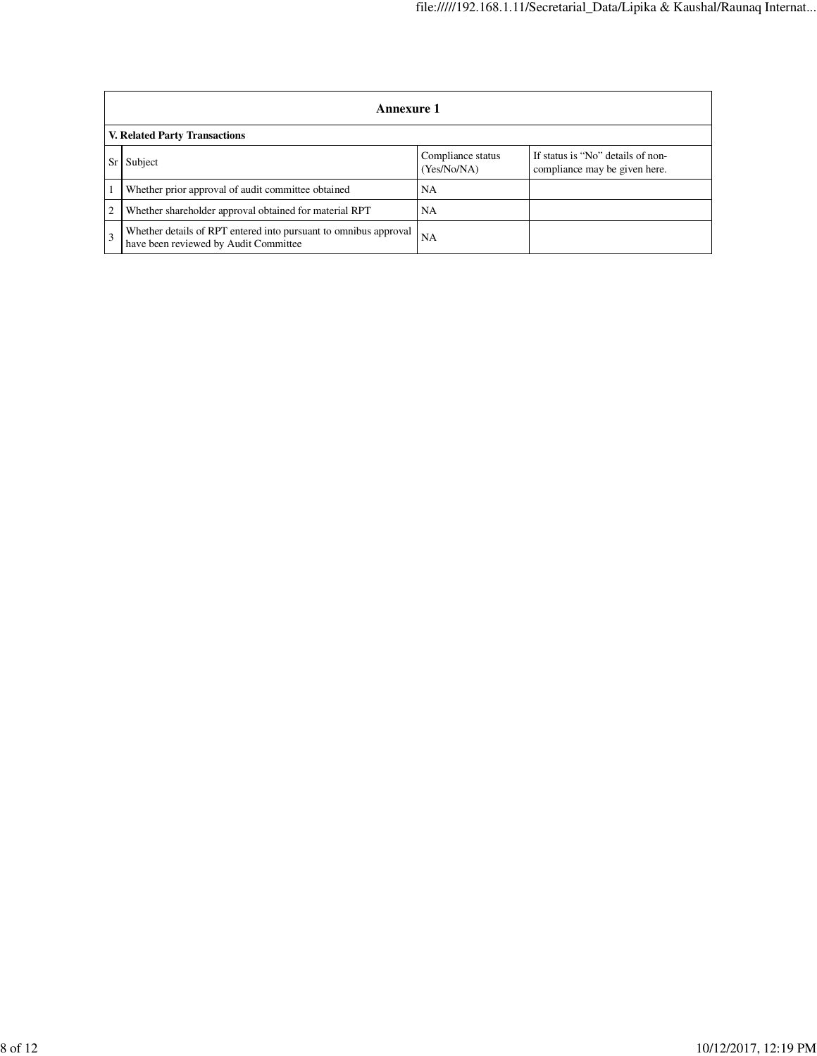|              | Annexure 1                                                                                                |                                  |                                                                    |  |  |  |  |  |
|--------------|-----------------------------------------------------------------------------------------------------------|----------------------------------|--------------------------------------------------------------------|--|--|--|--|--|
|              | <b>V. Related Party Transactions</b>                                                                      |                                  |                                                                    |  |  |  |  |  |
|              | Subject                                                                                                   | Compliance status<br>(Yes/No/NA) | If status is "No" details of non-<br>compliance may be given here. |  |  |  |  |  |
|              | Whether prior approval of audit committee obtained                                                        | NA                               |                                                                    |  |  |  |  |  |
| 2            | Whether shareholder approval obtained for material RPT                                                    | NA                               |                                                                    |  |  |  |  |  |
| $\mathbf{3}$ | Whether details of RPT entered into pursuant to omnibus approval<br>have been reviewed by Audit Committee | <b>NA</b>                        |                                                                    |  |  |  |  |  |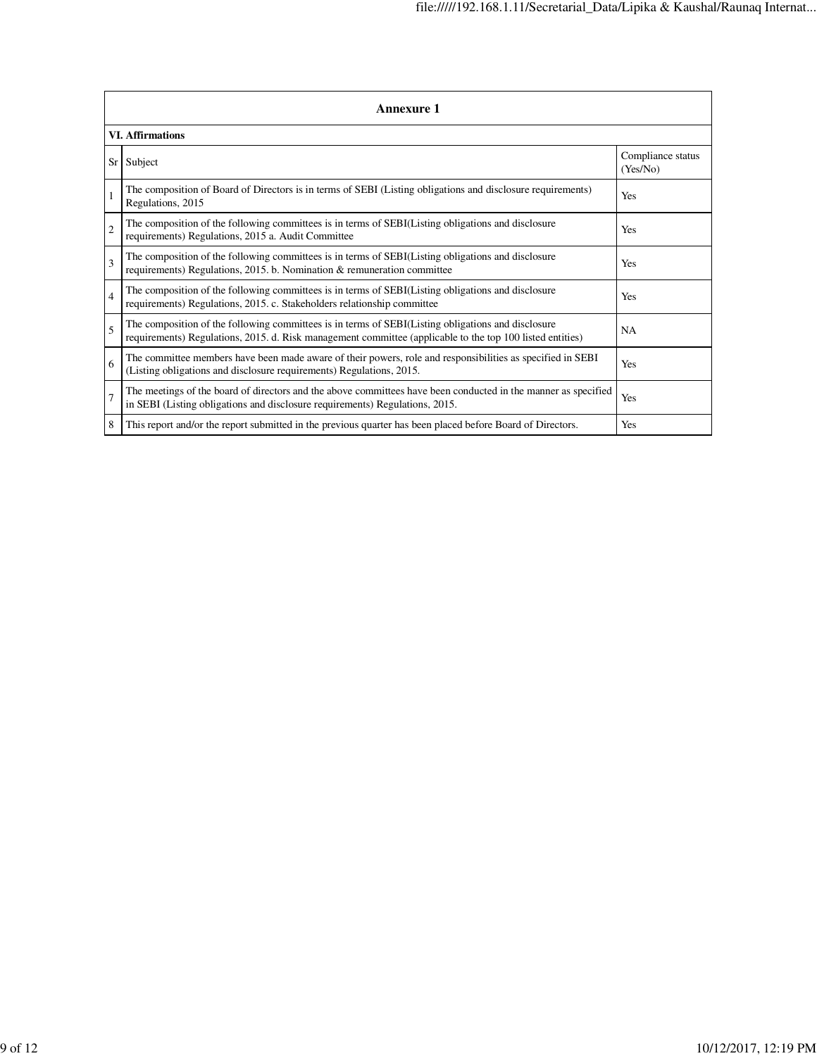|                | <b>Annexure 1</b>                                                                                                                                                                                               |                               |  |  |  |  |  |  |
|----------------|-----------------------------------------------------------------------------------------------------------------------------------------------------------------------------------------------------------------|-------------------------------|--|--|--|--|--|--|
|                | <b>VI. Affirmations</b>                                                                                                                                                                                         |                               |  |  |  |  |  |  |
|                | Sr Subject                                                                                                                                                                                                      | Compliance status<br>(Yes/No) |  |  |  |  |  |  |
| $\overline{1}$ | The composition of Board of Directors is in terms of SEBI (Listing obligations and disclosure requirements)<br>Regulations, 2015                                                                                | Yes                           |  |  |  |  |  |  |
| $\overline{2}$ | The composition of the following committees is in terms of SEBI(Listing obligations and disclosure<br>requirements) Regulations, 2015 a. Audit Committee                                                        | Yes                           |  |  |  |  |  |  |
| $\mathcal{R}$  | The composition of the following committees is in terms of SEBI(Listing obligations and disclosure<br>requirements) Regulations, 2015. b. Nomination & remuneration committee                                   | Yes                           |  |  |  |  |  |  |
| $\overline{4}$ | The composition of the following committees is in terms of SEBI(Listing obligations and disclosure<br>requirements) Regulations, 2015. c. Stakeholders relationship committee                                   | Yes                           |  |  |  |  |  |  |
| $\overline{5}$ | The composition of the following committees is in terms of SEBI(Listing obligations and disclosure<br>requirements) Regulations, 2015. d. Risk management committee (applicable to the top 100 listed entities) | <b>NA</b>                     |  |  |  |  |  |  |
| 6              | The committee members have been made aware of their powers, role and responsibilities as specified in SEBI<br>(Listing obligations and disclosure requirements) Regulations, 2015.                              | Yes                           |  |  |  |  |  |  |
| 7              | The meetings of the board of directors and the above committees have been conducted in the manner as specified<br>in SEBI (Listing obligations and disclosure requirements) Regulations, 2015.                  | Yes                           |  |  |  |  |  |  |
| 8              | This report and/or the report submitted in the previous quarter has been placed before Board of Directors.                                                                                                      | Yes                           |  |  |  |  |  |  |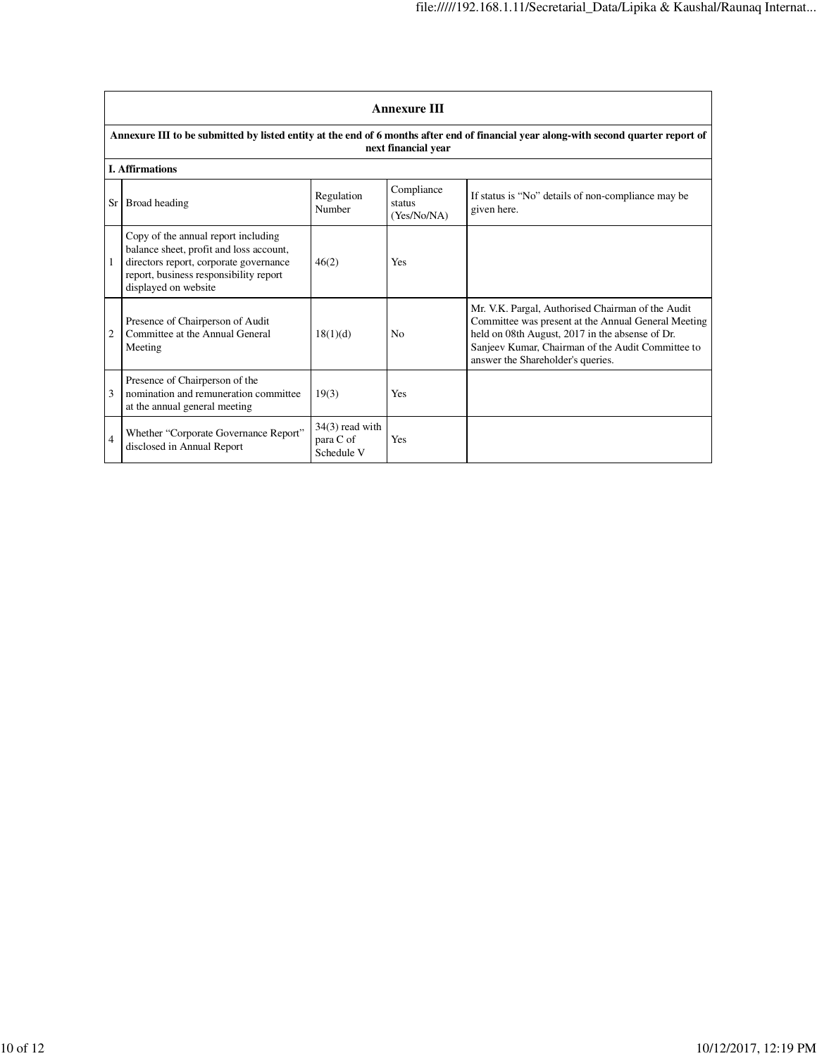|                | <b>Annexure III</b>                                                                                                                                                                        |                                              |                                     |                                                                                                                                                                                                                                                       |  |  |  |  |  |
|----------------|--------------------------------------------------------------------------------------------------------------------------------------------------------------------------------------------|----------------------------------------------|-------------------------------------|-------------------------------------------------------------------------------------------------------------------------------------------------------------------------------------------------------------------------------------------------------|--|--|--|--|--|
|                | Annexure III to be submitted by listed entity at the end of 6 months after end of financial year along-with second quarter report of<br>next financial year                                |                                              |                                     |                                                                                                                                                                                                                                                       |  |  |  |  |  |
|                | <b>I.</b> Affirmations                                                                                                                                                                     |                                              |                                     |                                                                                                                                                                                                                                                       |  |  |  |  |  |
|                | Sr Broad heading                                                                                                                                                                           | Regulation<br>Number                         | Compliance<br>status<br>(Yes/No/NA) | If status is "No" details of non-compliance may be<br>given here.                                                                                                                                                                                     |  |  |  |  |  |
|                | Copy of the annual report including<br>balance sheet, profit and loss account,<br>directors report, corporate governance<br>report, business responsibility report<br>displayed on website | 46(2)                                        | Yes                                 |                                                                                                                                                                                                                                                       |  |  |  |  |  |
| $\overline{2}$ | Presence of Chairperson of Audit<br>Committee at the Annual General<br>Meeting                                                                                                             | 18(1)(d)                                     | No                                  | Mr. V.K. Pargal, Authorised Chairman of the Audit<br>Committee was present at the Annual General Meeting<br>held on 08th August, 2017 in the absense of Dr.<br>Sanjeev Kumar, Chairman of the Audit Committee to<br>answer the Shareholder's queries. |  |  |  |  |  |
| 3              | Presence of Chairperson of the<br>nomination and remuneration committee<br>at the annual general meeting                                                                                   | 19(3)                                        | Yes                                 |                                                                                                                                                                                                                                                       |  |  |  |  |  |
| 4              | Whether "Corporate Governance Report"<br>disclosed in Annual Report                                                                                                                        | $34(3)$ read with<br>para C of<br>Schedule V | <b>Yes</b>                          |                                                                                                                                                                                                                                                       |  |  |  |  |  |